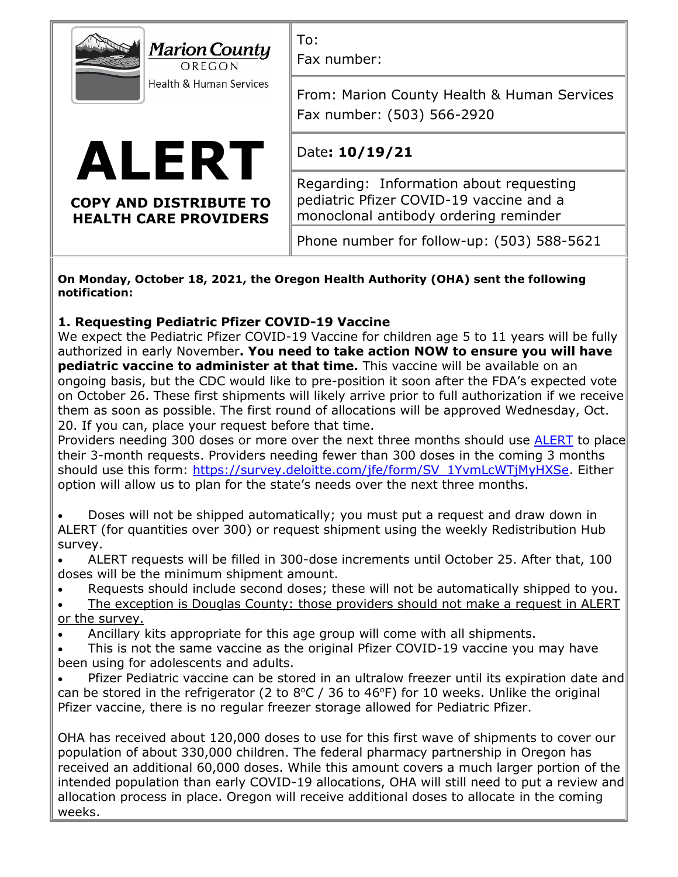| <b>Marion County</b><br>OREGON<br>Health & Human Services              | To:<br>Fax number:                                                                                                          |
|------------------------------------------------------------------------|-----------------------------------------------------------------------------------------------------------------------------|
|                                                                        | From: Marion County Health & Human Services<br>Fax number: (503) 566-2920                                                   |
| ALERT<br><b>COPY AND DISTRIBUTE TO</b><br><b>HEALTH CARE PROVIDERS</b> | Date: 10/19/21                                                                                                              |
|                                                                        | Regarding: Information about requesting<br>pediatric Pfizer COVID-19 vaccine and a<br>monoclonal antibody ordering reminder |
|                                                                        | Phone number for follow-up: (503) 588-5621                                                                                  |
|                                                                        |                                                                                                                             |

**On Monday, October 18, 2021, the Oregon Health Authority (OHA) sent the following notification:** 

## **1. Requesting Pediatric Pfizer COVID-19 Vaccine**

We expect the Pediatric Pfizer COVID-19 Vaccine for children age 5 to 11 years will be fully authorized in early November**. You need to take action NOW to ensure you will have pediatric vaccine to administer at that time.** This vaccine will be available on an ongoing basis, but the CDC would like to pre-position it soon after the FDA's expected vote on October 26. These first shipments will likely arrive prior to full authorization if we receive them as soon as possible. The first round of allocations will be approved Wednesday, Oct. 20. If you can, place your request before that time.

Providers needing 300 doses or more over the next three months should use [ALERT](https://gcc02.safelinks.protection.outlook.com/?url=https%3A%2F%2Flnks.gd%2Fl%2FeyJhbGciOiJIUzI1NiJ9.eyJidWxsZXRpbl9saW5rX2lkIjoxMDAsInVyaSI6ImJwMjpjbGljayIsImJ1bGxldGluX2lkIjoiMjAyMTEwMTguNDc1NDQ3MTEiLCJ1cmwiOiJodHRwOi8vd3d3LmFsZXJ0aWlzLm9yZz91dG1fbWVkaXVtPWVtYWlsJnV0bV9zb3VyY2U9Z292ZGVsaXZlcnkifQ.ZK2CZeAmtOEvD8y6gxpM76AqYWwpfie1arzMDxnQzio%2Fs%2F935847320%2Fbr%2F114216088252-l&data=04%7C01%7Ckrothenberger%40co.marion.or.us%7C7d03c660e99e4a45746508d99293dae8%7C716bee548eb846d6a6289178fc88015e%7C0%7C0%7C637701986143003143%7CUnknown%7CTWFpbGZsb3d8eyJWIjoiMC4wLjAwMDAiLCJQIjoiV2luMzIiLCJBTiI6Ik1haWwiLCJXVCI6Mn0%3D%7C2000&sdata=%2FQZXbpD6q1wTMcf3Em1ZH%2B3oyVgByFp%2BIuzN9nC9cMU%3D&reserved=0) to place their 3-month requests. Providers needing fewer than 300 doses in the coming 3 months should use this form: [https://survey.deloitte.com/jfe/form/SV\\_1YvmLcWTjMyHXSe.](https://gcc02.safelinks.protection.outlook.com/?url=https%3A%2F%2Flnks.gd%2Fl%2FeyJhbGciOiJIUzI1NiJ9.eyJidWxsZXRpbl9saW5rX2lkIjoxMDEsInVyaSI6ImJwMjpjbGljayIsImJ1bGxldGluX2lkIjoiMjAyMTEwMTguNDc1NDQ3MTEiLCJ1cmwiOiJodHRwczovL3N1cnZleS5kZWxvaXR0ZS5jb20vamZlL2Zvcm0vU1ZfMVl2bUxjV1RqTXlIWFNlP3V0bV9tZWRpdW09ZW1haWwmdXRtX3NvdXJjZT1nb3ZkZWxpdmVyeSJ9.fMCtaYv9Z74EXBnmvEthCvxn3yoc7gcACBOREtXFOgY%2Fs%2F935847320%2Fbr%2F114216088252-l&data=04%7C01%7Ckrothenberger%40co.marion.or.us%7C7d03c660e99e4a45746508d99293dae8%7C716bee548eb846d6a6289178fc88015e%7C0%7C0%7C637701986143013107%7CUnknown%7CTWFpbGZsb3d8eyJWIjoiMC4wLjAwMDAiLCJQIjoiV2luMzIiLCJBTiI6Ik1haWwiLCJXVCI6Mn0%3D%7C2000&sdata=%2FQ32vy0GfS%2BJdsVQ9YYrA50IW8bayEHvuZPDuCILr0g%3D&reserved=0) Either option will allow us to plan for the state's needs over the next three months.

- Doses will not be shipped automatically; you must put a request and draw down in ALERT (for quantities over 300) or request shipment using the weekly Redistribution Hub survey.
- ALERT requests will be filled in 300-dose increments until October 25. After that, 100 doses will be the minimum shipment amount.
- Requests should include second doses; these will not be automatically shipped to you.
- The exception is Douglas County: those providers should not make a request in ALERT or the survey.
- Ancillary kits appropriate for this age group will come with all shipments.
- This is not the same vaccine as the original Pfizer COVID-19 vaccine you may have been using for adolescents and adults.
- Pfizer Pediatric vaccine can be stored in an ultralow freezer until its expiration date and can be stored in the refrigerator (2 to  $8^{\circ}C$  / 36 to 46 $^{\circ}F$ ) for 10 weeks. Unlike the original Pfizer vaccine, there is no regular freezer storage allowed for Pediatric Pfizer.

OHA has received about 120,000 doses to use for this first wave of shipments to cover our population of about 330,000 children. The federal pharmacy partnership in Oregon has received an additional 60,000 doses. While this amount covers a much larger portion of the intended population than early COVID-19 allocations, OHA will still need to put a review and allocation process in place. Oregon will receive additional doses to allocate in the coming weeks.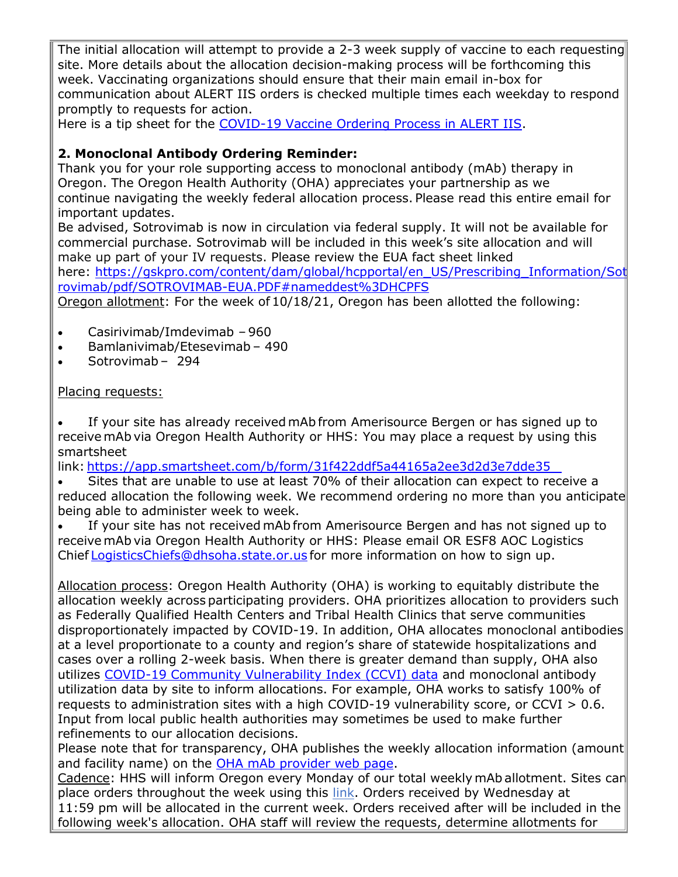The initial allocation will attempt to provide a 2-3 week supply of vaccine to each requesting site. More details about the allocation decision-making process will be forthcoming this week. Vaccinating organizations should ensure that their main email in-box for communication about ALERT IIS orders is checked multiple times each weekday to respond promptly to requests for action.

Here is a tip sheet for the [COVID-19 Vaccine Ordering Process in ALERT IIS.](https://gcc02.safelinks.protection.outlook.com/?url=https%3A%2F%2Flnks.gd%2Fl%2FeyJhbGciOiJIUzI1NiJ9.eyJidWxsZXRpbl9saW5rX2lkIjoxMDIsInVyaSI6ImJwMjpjbGljayIsImJ1bGxldGluX2lkIjoiMjAyMTEwMTguNDc1NDQ3MTEiLCJ1cmwiOiJodHRwczovL3d3dy5vcmVnb24uZ292L29oYS9QSC9QUkVWRU5USU9OV0VMTE5FU1MvVkFDQ0lORVNJTU1VTklaQVRJT04vSU1NVU5JWkFUSU9OUFJPVklERVJSRVNPVVJDRVMvQ09WSUREb2N1bWVudHMvQ09WSURWYWNjaW5lT3JkZXJpbmdQcm9jZXNzLnBkZj91dG1fbWVkaXVtPWVtYWlsJnV0bV9zb3VyY2U9Z292ZGVsaXZlcnkifQ.LL2z0_gYDcMTihebGruCQSwmseQ95Q9y_F8qT4BiN8Y%2Fs%2F935847320%2Fbr%2F114216088252-l&data=04%7C01%7Ckrothenberger%40co.marion.or.us%7C7d03c660e99e4a45746508d99293dae8%7C716bee548eb846d6a6289178fc88015e%7C0%7C0%7C637701986143023051%7CUnknown%7CTWFpbGZsb3d8eyJWIjoiMC4wLjAwMDAiLCJQIjoiV2luMzIiLCJBTiI6Ik1haWwiLCJXVCI6Mn0%3D%7C2000&sdata=%2Fq7BdKAd3laTrIgweXvuKrBHr%2BkE3ifhPBfwCSS84wo%3D&reserved=0)

## **2. Monoclonal Antibody Ordering Reminder:**

Thank you for your role supporting access to monoclonal antibody (mAb) therapy in Oregon. The Oregon Health Authority (OHA) appreciates your partnership as we continue navigating the weekly federal allocation process. Please read this entire email for important updates.

Be advised, Sotrovimab is now in circulation via federal supply. It will not be available for commercial purchase. Sotrovimab will be included in this week's site allocation and will make up part of your IV requests. Please review the EUA fact sheet linked here: [https://gskpro.com/content/dam/global/hcpportal/en\\_US/Prescribing\\_Information/Sot](https://gcc02.safelinks.protection.outlook.com/?url=https%3A%2F%2Flnks.gd%2Fl%2FeyJhbGciOiJIUzI1NiJ9.eyJidWxsZXRpbl9saW5rX2lkIjoxMDMsInVyaSI6ImJwMjpjbGljayIsImJ1bGxldGluX2lkIjoiMjAyMTEwMTguNDc1NDQ3MTEiLCJ1cmwiOiJodHRwczovL2dza3Byby5jb20vY29udGVudC9kYW0vZ2xvYmFsL2hjcHBvcnRhbC9lbl9VUy9QcmVzY3JpYmluZ19JbmZvcm1hdGlvbi9Tb3Ryb3ZpbWFiL3BkZi9TT1RST1ZJTUFCLUVVQS5QREY_dXRtX21lZGl1bT1lbWFpbCZ1dG1fc291cmNlPWdvdmRlbGl2ZXJ5I25hbWVkZGVzdCUzREhDUEZTIn0.Kloy4w1IyCuUctt9y_TUwbeGSDngF5RTBDuqQDs0jVQ%2Fs%2F935847320%2Fbr%2F114216088252-l&data=04%7C01%7Ckrothenberger%40co.marion.or.us%7C7d03c660e99e4a45746508d99293dae8%7C716bee548eb846d6a6289178fc88015e%7C0%7C0%7C637701986143023051%7CUnknown%7CTWFpbGZsb3d8eyJWIjoiMC4wLjAwMDAiLCJQIjoiV2luMzIiLCJBTiI6Ik1haWwiLCJXVCI6Mn0%3D%7C2000&sdata=AOx8yJp2mBLwTv%2FcRVWUycMBiHYBts%2FiOxH%2F4eSahxk%3D&reserved=0) [rovimab/pdf/SOTROVIMAB-EUA.PDF#nameddest%3DHCPFS](https://gcc02.safelinks.protection.outlook.com/?url=https%3A%2F%2Flnks.gd%2Fl%2FeyJhbGciOiJIUzI1NiJ9.eyJidWxsZXRpbl9saW5rX2lkIjoxMDMsInVyaSI6ImJwMjpjbGljayIsImJ1bGxldGluX2lkIjoiMjAyMTEwMTguNDc1NDQ3MTEiLCJ1cmwiOiJodHRwczovL2dza3Byby5jb20vY29udGVudC9kYW0vZ2xvYmFsL2hjcHBvcnRhbC9lbl9VUy9QcmVzY3JpYmluZ19JbmZvcm1hdGlvbi9Tb3Ryb3ZpbWFiL3BkZi9TT1RST1ZJTUFCLUVVQS5QREY_dXRtX21lZGl1bT1lbWFpbCZ1dG1fc291cmNlPWdvdmRlbGl2ZXJ5I25hbWVkZGVzdCUzREhDUEZTIn0.Kloy4w1IyCuUctt9y_TUwbeGSDngF5RTBDuqQDs0jVQ%2Fs%2F935847320%2Fbr%2F114216088252-l&data=04%7C01%7Ckrothenberger%40co.marion.or.us%7C7d03c660e99e4a45746508d99293dae8%7C716bee548eb846d6a6289178fc88015e%7C0%7C0%7C637701986143023051%7CUnknown%7CTWFpbGZsb3d8eyJWIjoiMC4wLjAwMDAiLCJQIjoiV2luMzIiLCJBTiI6Ik1haWwiLCJXVCI6Mn0%3D%7C2000&sdata=AOx8yJp2mBLwTv%2FcRVWUycMBiHYBts%2FiOxH%2F4eSahxk%3D&reserved=0)

Oregon allotment: For the week of 10/18/21, Oregon has been allotted the following: 

- Casirivimab/Imdevimab – 960
- Bamlanivimab/Etesevimab 490
- Sotrovimab – 294

## Placing requests:

• If your site has already received mAb from Amerisource Bergen or has signed up to receive mAb via Oregon Health Authority or HHS: You may place a request by using this smartsheet

link: [https://app.smartsheet.com/b/form/31f422ddf5a44165a2ee3d2d3e7dde35](https://gcc02.safelinks.protection.outlook.com/?url=https%3A%2F%2Flnks.gd%2Fl%2FeyJhbGciOiJIUzI1NiJ9.eyJidWxsZXRpbl9saW5rX2lkIjoxMDQsInVyaSI6ImJwMjpjbGljayIsImJ1bGxldGluX2lkIjoiMjAyMTEwMTguNDc1NDQ3MTEiLCJ1cmwiOiJodHRwczovL2FwcC5zbWFydHNoZWV0LmNvbS9iL2Zvcm0vMzFmNDIyZGRmNWE0NDE2NWEyZWUzZDJkM2U3ZGRlMzU_dXRtX21lZGl1bT1lbWFpbCZ1dG1fc291cmNlPWdvdmRlbGl2ZXJ5In0.NxXqviMtE_cDlQ2Z0QCqn0PZibQ4oMOLZLycnzVAdS0%2Fs%2F935847320%2Fbr%2F114216088252-l&data=04%7C01%7Ckrothenberger%40co.marion.or.us%7C7d03c660e99e4a45746508d99293dae8%7C716bee548eb846d6a6289178fc88015e%7C0%7C0%7C637701986143033014%7CUnknown%7CTWFpbGZsb3d8eyJWIjoiMC4wLjAwMDAiLCJQIjoiV2luMzIiLCJBTiI6Ik1haWwiLCJXVCI6Mn0%3D%7C2000&sdata=PNySBc%2FXR08m8ZzKY75P3ybw7icfM%2BYtbn4RvzrJ3p4%3D&reserved=0)   

- Sites that are unable to use at least 70% of their allocation can expect to receive a reduced allocation the following week. We recommend ordering no more than you anticipate being able to administer week to week.
- If your site has not received mAb from Amerisource Bergen and has not signed up to receive mAb via Oregon Health Authority or HHS: Please email OR ESF8 AOC Logistics Chief [LogisticsChiefs@dhsoha.state.or.us](mailto:ORESF8.LogisticsChiefs@dhsoha.state.or.us) for more information on how to sign up.

Allocation process:  Oregon Health Authority (OHA) is working to equitably distribute the allocation weekly across participating providers. OHA prioritizes allocation to providers such as Federally Qualified Health Centers and Tribal Health Clinics that serve communities disproportionately impacted by COVID-19. In addition, OHA allocates monoclonal antibodies at a level proportionate to a county and region's share of statewide hospitalizations and cases over a rolling 2-week basis. When there is greater demand than supply, OHA also utilizes [COVID-19 Community Vulnerability Index \(CCVI\) data](https://gcc02.safelinks.protection.outlook.com/?url=https%3A%2F%2Flnks.gd%2Fl%2FeyJhbGciOiJIUzI1NiJ9.eyJidWxsZXRpbl9saW5rX2lkIjoxMDUsInVyaSI6ImJwMjpjbGljayIsImJ1bGxldGluX2lkIjoiMjAyMTEwMTguNDc1NDQ3MTEiLCJ1cmwiOiJodHRwczovL3ByZWNpc2lvbmZvcmNvdmlkLm9yZy9jY3ZpP3V0bV9tZWRpdW09ZW1haWwmdXRtX3NvdXJjZT1nb3ZkZWxpdmVyeSJ9.B4XHyK28vHDXks8IM3DfzWEbH16LcdL505yS63PMd9A%2Fs%2F935847320%2Fbr%2F114216088252-l&data=04%7C01%7Ckrothenberger%40co.marion.or.us%7C7d03c660e99e4a45746508d99293dae8%7C716bee548eb846d6a6289178fc88015e%7C0%7C0%7C637701986143033014%7CUnknown%7CTWFpbGZsb3d8eyJWIjoiMC4wLjAwMDAiLCJQIjoiV2luMzIiLCJBTiI6Ik1haWwiLCJXVCI6Mn0%3D%7C2000&sdata=BvGr%2FFNM4ojTk2F0nfAra7gg6WPHqhppS3HUkpVq%2Fts%3D&reserved=0) and monoclonal antibody utilization data by site to inform allocations. For example, OHA works to satisfy 100% of requests to administration sites with a high COVID-19 vulnerability score, or CCVI  $> 0.6$ . Input from local public health authorities may sometimes be used to make further refinements to our allocation decisions.

Please note that for transparency, OHA publishes the weekly allocation information (amount and facility name) on the [OHA mAb provider web page.](https://gcc02.safelinks.protection.outlook.com/?url=https%3A%2F%2Flnks.gd%2Fl%2FeyJhbGciOiJIUzI1NiJ9.eyJidWxsZXRpbl9saW5rX2lkIjoxMDYsInVyaSI6ImJwMjpjbGljayIsImJ1bGxldGluX2lkIjoiMjAyMTEwMTguNDc1NDQ3MTEiLCJ1cmwiOiJodHRwczovL3d3dy5vcmVnb24uZ292L29oYS9jb3ZpZDE5L1BhZ2VzL21vbm9jbG9uYWwtYW50aWJvZHktdGhlcmFweS5hc3B4P3V0bV9tZWRpdW09ZW1haWwmdXRtX3NvdXJjZT1nb3ZkZWxpdmVyeSJ9.GwaluiPw0X0EuyYqfsv1Gf9NuSD8NNNrxkOBeuw_3lk%2Fs%2F935847320%2Fbr%2F114216088252-l&data=04%7C01%7Ckrothenberger%40co.marion.or.us%7C7d03c660e99e4a45746508d99293dae8%7C716bee548eb846d6a6289178fc88015e%7C0%7C0%7C637701986143042969%7CUnknown%7CTWFpbGZsb3d8eyJWIjoiMC4wLjAwMDAiLCJQIjoiV2luMzIiLCJBTiI6Ik1haWwiLCJXVCI6Mn0%3D%7C2000&sdata=CjvcdZEpI9fdJtSqlK%2Fr3pxRonEPQQNwjhzacs73VFQ%3D&reserved=0)

Cadence: HHS will inform Oregon every Monday of our total weekly mAb allotment. Sites can place orders throughout the week using this [link.](https://gcc02.safelinks.protection.outlook.com/?url=https%3A%2F%2Flnks.gd%2Fl%2FeyJhbGciOiJIUzI1NiJ9.eyJidWxsZXRpbl9saW5rX2lkIjoxMDcsInVyaSI6ImJwMjpjbGljayIsImJ1bGxldGluX2lkIjoiMjAyMTEwMTguNDc1NDQ3MTEiLCJ1cmwiOiJodHRwczovL2FwcC5zbWFydHNoZWV0LmNvbS9iL2Zvcm0vMzFmNDIyZGRmNWE0NDE2NWEyZWUzZDJkM2U3ZGRlMzU_dXRtX21lZGl1bT1lbWFpbCZ1dG1fc291cmNlPWdvdmRlbGl2ZXJ5In0.xIjfj49WAMUiWyVezcw8qiO9KdWvWAiSqV3WgKnzubw%2Fs%2F935847320%2Fbr%2F114216088252-l&data=04%7C01%7Ckrothenberger%40co.marion.or.us%7C7d03c660e99e4a45746508d99293dae8%7C716bee548eb846d6a6289178fc88015e%7C0%7C0%7C637701986143042969%7CUnknown%7CTWFpbGZsb3d8eyJWIjoiMC4wLjAwMDAiLCJQIjoiV2luMzIiLCJBTiI6Ik1haWwiLCJXVCI6Mn0%3D%7C2000&sdata=TZiXBFIIozrZXc3dbsreO2fgjlz5w2e9sGa6z%2Bg1cnw%3D&reserved=0) Orders received by Wednesday at 11:59 pm will be allocated in the current week. Orders received after will be included in the following week's allocation. OHA staff will review the requests, determine allotments for